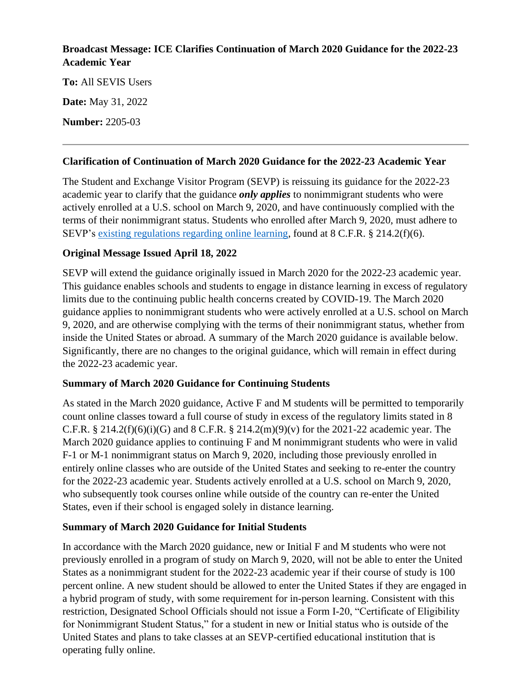### **Broadcast Message: ICE Clarifies Continuation of March 2020 Guidance for the 2022-23 Academic Year**

**To:** All SEVIS Users **Date:** May 31, 2022 **Number:** 2205-03

#### **Clarification of Continuation of March 2020 Guidance for the 2022-23 Academic Year**

The Student and Exchange Visitor Program (SEVP) is reissuing its guidance for the 2022-23 academic year to clarify that the guidance *only applies* to nonimmigrant students who were actively enrolled at a U.S. school on March 9, 2020, and have continuously complied with the terms of their nonimmigrant status. Students who enrolled after March 9, 2020, must adhere to SEVP's [existing regulations regarding online learning,](https://studyinthestates.dhs.gov/students/study/full-course-of-study) found at 8 C.F.R. § 214.2(f)(6).

### **Original Message Issued April 18, 2022**

SEVP will extend the guidance originally issued in March 2020 for the 2022-23 academic year. This guidance enables schools and students to engage in distance learning in excess of regulatory limits due to the continuing public health concerns created by COVID-19. The March 2020 guidance applies to nonimmigrant students who were actively enrolled at a U.S. school on March 9, 2020, and are otherwise complying with the terms of their nonimmigrant status, whether from inside the United States or abroad. A summary of the March 2020 guidance is available below. Significantly, there are no changes to the original guidance, which will remain in effect during the 2022-23 academic year.

### **Summary of March 2020 Guidance for Continuing Students**

As stated in the March 2020 guidance, Active F and M students will be permitted to temporarily count online classes toward a full course of study in excess of the regulatory limits stated in 8 C.F.R. § 214.2(f)(6)(i)(G) and 8 C.F.R. § 214.2(m)(9)(v) for the 2021-22 academic year. The March 2020 guidance applies to continuing F and M nonimmigrant students who were in valid F-1 or M-1 nonimmigrant status on March 9, 2020, including those previously enrolled in entirely online classes who are outside of the United States and seeking to re-enter the country for the 2022-23 academic year. Students actively enrolled at a U.S. school on March 9, 2020, who subsequently took courses online while outside of the country can re-enter the United States, even if their school is engaged solely in distance learning.

### **Summary of March 2020 Guidance for Initial Students**

In accordance with the March 2020 guidance, new or Initial F and M students who were not previously enrolled in a program of study on March 9, 2020, will not be able to enter the United States as a nonimmigrant student for the 2022-23 academic year if their course of study is 100 percent online. A new student should be allowed to enter the United States if they are engaged in a hybrid program of study, with some requirement for in-person learning. Consistent with this restriction, Designated School Officials should not issue a Form I-20, "Certificate of Eligibility for Nonimmigrant Student Status," for a student in new or Initial status who is outside of the United States and plans to take classes at an SEVP-certified educational institution that is operating fully online.